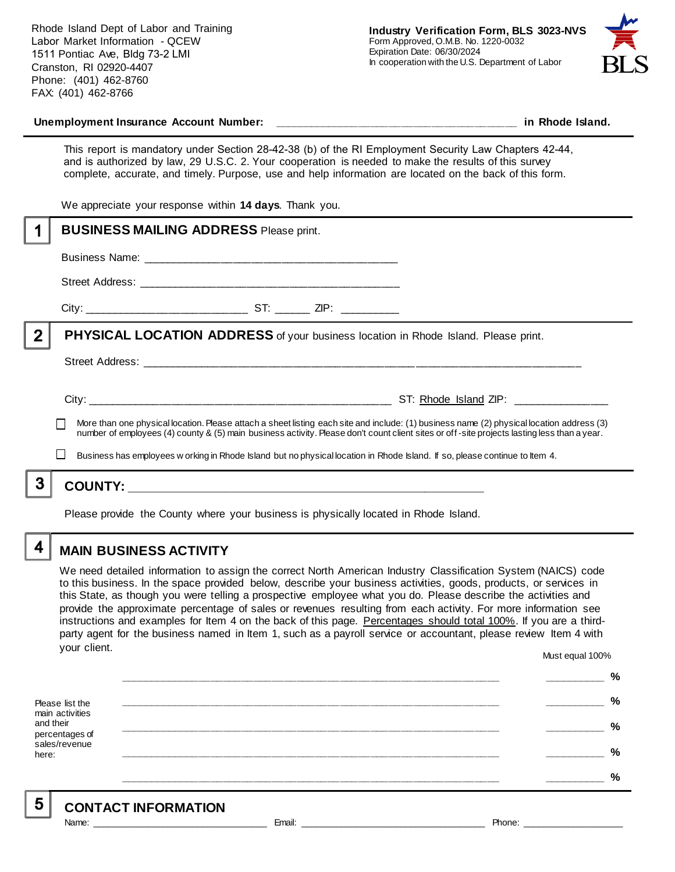Rhode Island Dept of Labor and Training Labor Market Information - QCEW 1511 Pontiac Ave, Bldg 73-2 LMI Cranston, RI 02920-4407 Phone: (401) 462-8760 FAX: (401) 462-8766



#### **Unemployment Insurance Account Number: \_\_\_\_\_\_\_\_\_\_\_\_\_\_\_\_\_\_\_\_\_\_\_\_\_\_\_\_\_\_\_\_\_\_\_\_\_\_\_\_ in Rhode Island.**

This report is mandatory under Section 28-42-38 (b) of the RI Employment Security Law Chapters 42-44, and is authorized by law, 29 U.S.C. 2. Your cooperation is needed to make the results of this survey complete, accurate, and timely. Purpose, use and help information are located on the back of this form.

We appreciate your response within **14 days**. Thank you.

|              | <b>BUSINESS MAILING ADDRESS Please print.</b>                                                                                                                                                                                                                                            |  |
|--------------|------------------------------------------------------------------------------------------------------------------------------------------------------------------------------------------------------------------------------------------------------------------------------------------|--|
|              |                                                                                                                                                                                                                                                                                          |  |
|              |                                                                                                                                                                                                                                                                                          |  |
|              |                                                                                                                                                                                                                                                                                          |  |
| $\mathbf{2}$ | <b>PHYSICAL LOCATION ADDRESS</b> of your business location in Rhode Island. Please print.                                                                                                                                                                                                |  |
|              |                                                                                                                                                                                                                                                                                          |  |
|              |                                                                                                                                                                                                                                                                                          |  |
|              | More than one physical location. Please attach a sheet listing each site and include: (1) business name (2) physical location address (3)<br>number of employees (4) county & (5) main business activity. Please don't count client sites or off-site projects lasting less than a year. |  |
|              | Business has employees w orking in Rhode Island but no physical location in Rhode Island. If so, please continue to Item 4.                                                                                                                                                              |  |
|              | <b>COUNTY:</b><br><u> 2000 - Andrea Andrewski, amerikansk politik (d. 1982)</u>                                                                                                                                                                                                          |  |
|              |                                                                                                                                                                                                                                                                                          |  |

Please provide the County where your business is physically located in Rhode Island.

4

### **MAIN BUSINESS ACTIVITY**

We need detailed information to assign the correct North American Industry Classification System (NAICS) code to this business. In the space provided below, describe your business activities, goods, products, or services in this State, as though you were telling a prospective employee what you do. Please describe the activities and provide the approximate percentage of sales or revenues resulting from each activity. For more information see instructions and examples for Item 4 on the back of this page. Percentages should total 100%. If you are a thirdparty agent for the business named in Item 1, such as a payroll service or accountant, please review Item 4 with your client. Must equal 100%

Please list the main activities and their percentages of sales/revenue here: **\_\_\_\_\_\_\_\_\_\_\_\_\_\_\_\_\_\_\_\_\_\_\_\_\_\_\_\_\_\_\_\_\_\_\_\_\_\_\_\_\_\_\_\_\_\_\_\_\_\_\_\_\_\_\_\_\_\_\_\_\_\_ \_\_\_\_\_\_\_\_\_\_ % \_\_\_\_\_\_\_\_\_\_\_\_\_\_\_\_\_\_\_\_\_\_\_\_\_\_\_\_\_\_\_\_\_\_\_\_\_\_\_\_\_\_\_\_\_\_\_\_\_\_\_\_\_\_\_\_\_\_\_\_\_\_ \_\_\_\_\_\_\_\_\_\_ % \_\_\_\_\_\_\_\_\_\_\_\_\_\_\_\_\_\_\_\_\_\_\_\_\_\_\_\_\_\_\_\_\_\_\_\_\_\_\_\_\_\_\_\_\_\_\_\_\_\_\_\_\_\_\_\_\_\_\_\_\_\_ \_\_\_\_\_\_\_\_\_\_ % \_\_\_\_\_\_\_\_\_\_\_\_\_\_\_\_\_\_\_\_\_\_\_\_\_\_\_\_\_\_\_\_\_\_\_\_\_\_\_\_\_\_\_\_\_\_\_\_\_\_\_\_\_\_\_\_\_\_\_\_\_\_ \_\_\_\_\_\_\_\_\_\_ % \_\_\_\_\_\_\_\_\_\_\_\_\_\_\_\_\_\_\_\_\_\_\_\_\_\_\_\_\_\_\_\_\_\_\_\_\_\_\_\_\_\_\_\_\_\_\_\_\_\_\_\_\_\_\_\_\_\_\_\_\_\_ \_\_\_\_\_\_\_\_\_\_ %**

5